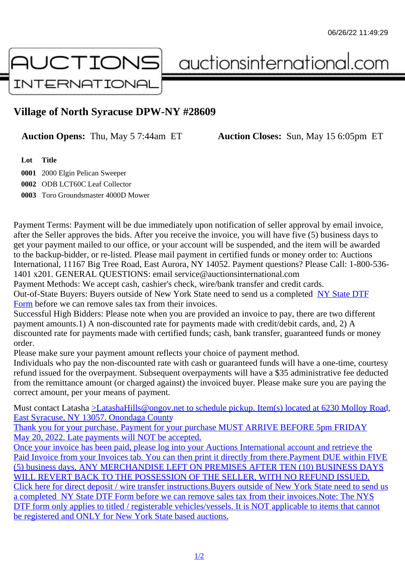## Village of North Syracuse DPW-NY #28609

Auction Opens: Thu, May 5 7:44am ET Auction Closes: Sun, May 15 6:05pm ET

Lot Title

0001 2000 Elgin Pelican Sweeper 0002 ODB LCT60C Leaf Collector 0003 Toro Groundsmaster 4000D Mower

Payment Terms: Payment will be due immediately upon notification of seller approval by email invoice, after the Seller approves the bids. After you receive the invoice, you will have five (5) business days to get your payment mailed to our office, or your account will be suspended, and the item will be awarded to the backup-bidder, or re-listed. Please mail payment in certified funds or money order to: Auctions International, 11167 Big Tree Road, East Aurora, NY 14052. Payment questions? Please Call: 1-800-53 1401 x201. GENERAL QUESTIONS: email service@auctionsinternational.com

Payment Methods: We accept cash, cashier's check, wire/bank transfer and credit cards. Out-of-State Buyers: Buyers outside of New York State need to send us a com blestate DTF Form before we can remove sales tax from their invoices.

Successful High Bidders: Please note when you are provided an invoice to pay, there are two different payment amounts.1) A non-discounted rate for payments made with credit/de[bit cards, and](https://www.auctionsinternational.com/auxiliary/downloads/DTF_Form/dtf_fill_in.pdf), 2) A [disco](https://www.auctionsinternational.com/auxiliary/downloads/DTF_Form/dtf_fill_in.pdf)unted rate for payments made with certified funds; cash, bank transfer, quaranteed funds or mone order.

Please make sure your payment amount reflects your choice of payment method.

Individuals who pay the non-discounted rate with cash or quaranteed funds will have a one-time, courte refund issued for the overpayment. Subsequent overpayments will have a \$35 administrative fee deduc from the remittance amount (or charged against) the invoiced buyer. Please make sure you are paying correct amount, per your means of payment.

Must contact Latasha Latasha Hills@ongov.net to schedule pickup. Item(s) located at 6230 Molloy Road East Syracuse, NY 13057. Onondaga County

Thank you for your purchase. Payment for your purchase MUST ARRIVE BEFORE 5pm FRIDAY May 20, 2022. Late payments will NOT be accepted.

[Once your invoice has been paid, please log into your Auctions International account and retriev](mailto:LatashaHills@ongov.net</c:alink)e the Paid Invoice from your Invoices tab. You can then print it directly from there. Payment DUE within FIVE [\(5\) business days, ANY MERCHANDISE LEFT O](mailto:LatashaHills@ongov.net</c:alink)N PREMISES AFTER TEN (10) BUSINESS DAYS [WILL REVERT BACK TO THE POSSESSION OF THE SELLER, WITH NO REFUND ISSUE](mailto:LatashaHills@ongov.net</c:alink)D. Click here for direct deposit / wire transfer instructions. Buyers outside of New York State need to send use a completed NY State DTF Form before we can remove sales tax from their invoices. Note: The NYS [DTF form only applies to titled / registerable vehicles/vessels. It is NOT applicable to items t](mailto:LatashaHills@ongov.net</c:alink)hat cannot [be registered and ONLY for New York State based auctions.](mailto:LatashaHills@ongov.net</c:alink)